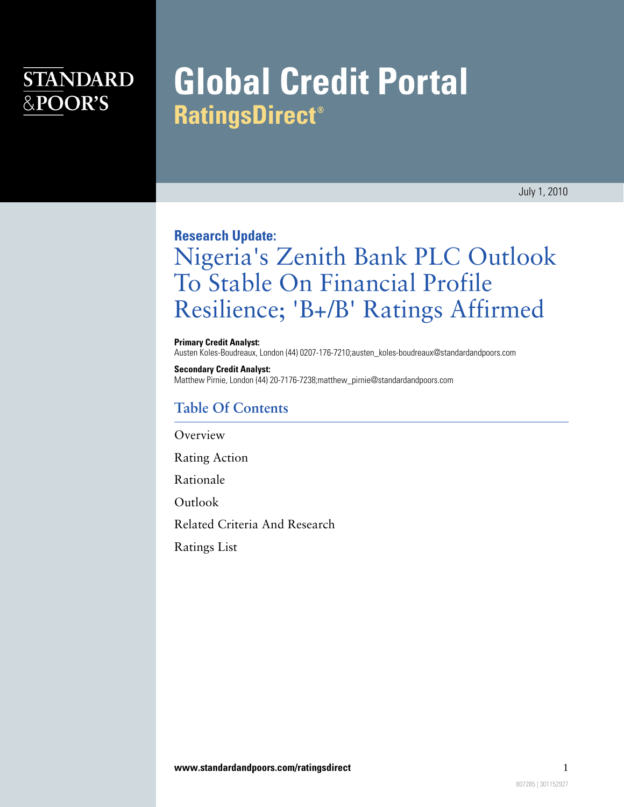# **STANDARD** &POOR'S

# **Global Credit Portal RatingsDirect<sup>®</sup>**

July 1, 2010

### **Research Update:**

# Nigeria's Zenith Bank PLC Outlook To Stable On Financial Profile Resilience; 'B+/B' Ratings Affirmed

#### **Primary Credit Analyst:**

Austen Koles-Boudreaux, London (44) 0207-176-7210;austen\_koles-boudreaux@standardandpoors.com

#### **Secondary Credit Analyst:**

Matthew Pirnie, London (44) 20-7176-7238;matthew\_pirnie@standardandpoors.com

### **Table Of Contents**

[Overview](#page-1-0)

[Rating Action](#page-1-1)

[Rationale](#page-1-2)

**[Outlook](#page-2-0)** 

[Related Criteria And Research](#page-3-0)

[Ratings List](#page-3-1)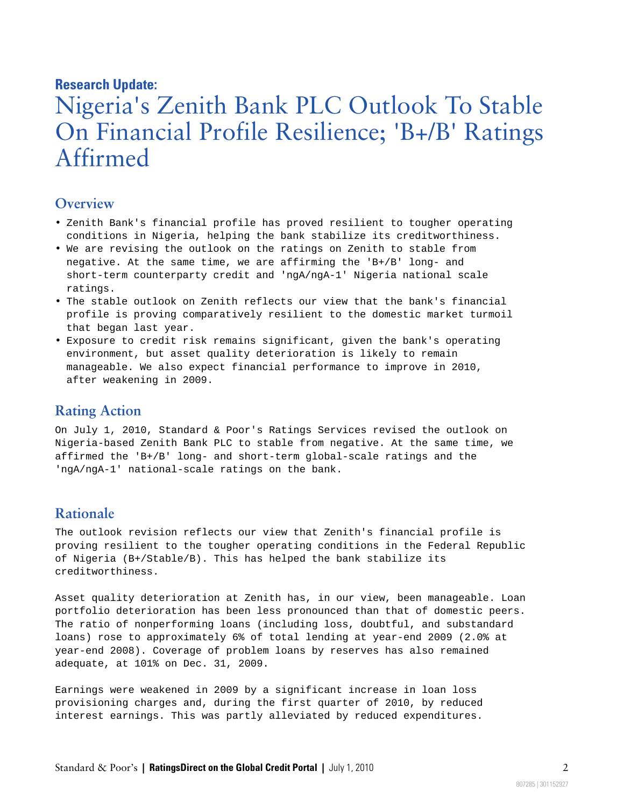### **Research Update:**

# Nigeria's Zenith Bank PLC Outlook To Stable On Financial Profile Resilience; 'B+/B' Ratings Affirmed

### <span id="page-1-0"></span>**Overview**

- Zenith Bank's financial profile has proved resilient to tougher operating conditions in Nigeria, helping the bank stabilize its creditworthiness.
- We are revising the outlook on the ratings on Zenith to stable from negative. At the same time, we are affirming the 'B+/B' long- and short-term counterparty credit and 'ngA/ngA-1' Nigeria national scale ratings.
- The stable outlook on Zenith reflects our view that the bank's financial profile is proving comparatively resilient to the domestic market turmoil that began last year.
- Exposure to credit risk remains significant, given the bank's operating environment, but asset quality deterioration is likely to remain manageable. We also expect financial performance to improve in 2010, after weakening in 2009.

### <span id="page-1-1"></span>**Rating Action**

On July 1, 2010, Standard & Poor's Ratings Services revised the outlook on Nigeria-based Zenith Bank PLC to stable from negative. At the same time, we affirmed the 'B+/B' long- and short-term global-scale ratings and the 'ngA/ngA-1' national-scale ratings on the bank.

### <span id="page-1-2"></span>**Rationale**

The outlook revision reflects our view that Zenith's financial profile is proving resilient to the tougher operating conditions in the Federal Republic of Nigeria (B+/Stable/B). This has helped the bank stabilize its creditworthiness.

Asset quality deterioration at Zenith has, in our view, been manageable. Loan portfolio deterioration has been less pronounced than that of domestic peers. The ratio of nonperforming loans (including loss, doubtful, and substandard loans) rose to approximately 6% of total lending at year-end 2009 (2.0% at year-end 2008). Coverage of problem loans by reserves has also remained adequate, at 101% on Dec. 31, 2009.

Earnings were weakened in 2009 by a significant increase in loan loss provisioning charges and, during the first quarter of 2010, by reduced interest earnings. This was partly alleviated by reduced expenditures.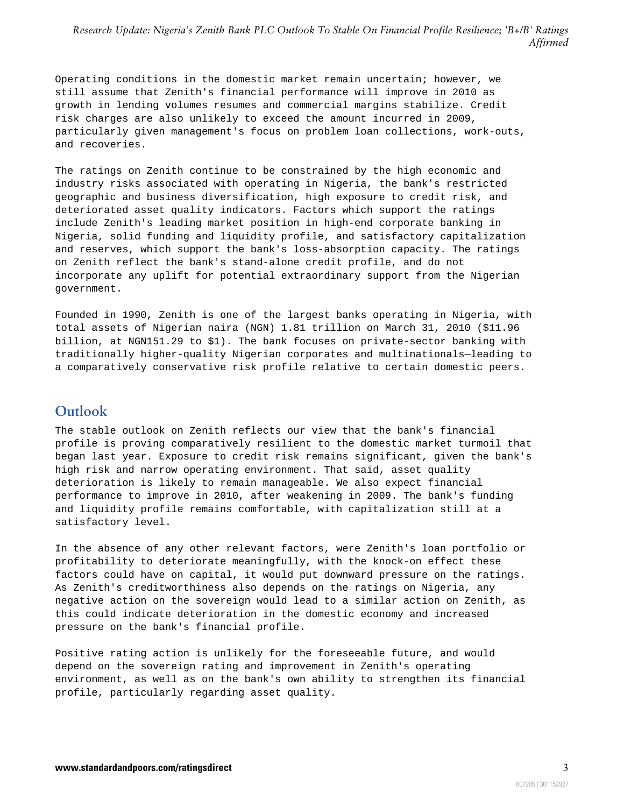*Research Update: Nigeria's Zenith Bank PLC Outlook To Stable On Financial Profile Resilience; 'B+/B' Ratings Affirmed*

Operating conditions in the domestic market remain uncertain; however, we still assume that Zenith's financial performance will improve in 2010 as growth in lending volumes resumes and commercial margins stabilize. Credit risk charges are also unlikely to exceed the amount incurred in 2009, particularly given management's focus on problem loan collections, work-outs, and recoveries.

The ratings on Zenith continue to be constrained by the high economic and industry risks associated with operating in Nigeria, the bank's restricted geographic and business diversification, high exposure to credit risk, and deteriorated asset quality indicators. Factors which support the ratings include Zenith's leading market position in high-end corporate banking in Nigeria, solid funding and liquidity profile, and satisfactory capitalization and reserves, which support the bank's loss-absorption capacity. The ratings on Zenith reflect the bank's stand-alone credit profile, and do not incorporate any uplift for potential extraordinary support from the Nigerian government.

Founded in 1990, Zenith is one of the largest banks operating in Nigeria, with total assets of Nigerian naira (NGN) 1.81 trillion on March 31, 2010 (\$11.96 billion, at NGN151.29 to \$1). The bank focuses on private-sector banking with traditionally higher-quality Nigerian corporates and multinationals—leading to a comparatively conservative risk profile relative to certain domestic peers.

### <span id="page-2-0"></span>**Outlook**

The stable outlook on Zenith reflects our view that the bank's financial profile is proving comparatively resilient to the domestic market turmoil that began last year. Exposure to credit risk remains significant, given the bank's high risk and narrow operating environment. That said, asset quality deterioration is likely to remain manageable. We also expect financial performance to improve in 2010, after weakening in 2009. The bank's funding and liquidity profile remains comfortable, with capitalization still at a satisfactory level.

In the absence of any other relevant factors, were Zenith's loan portfolio or profitability to deteriorate meaningfully, with the knock-on effect these factors could have on capital, it would put downward pressure on the ratings. As Zenith's creditworthiness also depends on the ratings on Nigeria, any negative action on the sovereign would lead to a similar action on Zenith, as this could indicate deterioration in the domestic economy and increased pressure on the bank's financial profile.

Positive rating action is unlikely for the foreseeable future, and would depend on the sovereign rating and improvement in Zenith's operating environment, as well as on the bank's own ability to strengthen its financial profile, particularly regarding asset quality.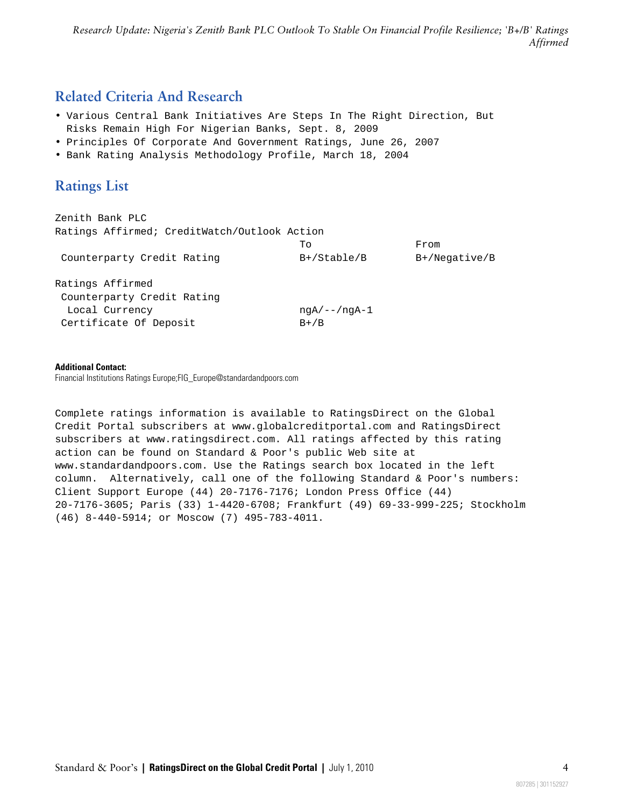*Research Update: Nigeria's Zenith Bank PLC Outlook To Stable On Financial Profile Resilience; 'B+/B' Ratings Affirmed*

### <span id="page-3-0"></span>**Related Criteria And Research**

- Various Central Bank Initiatives Are Steps In The Right Direction, But Risks Remain High For Nigerian Banks, Sept. 8, 2009
- Principles Of Corporate And Government Ratings, June 26, 2007
- <span id="page-3-1"></span>• Bank Rating Analysis Methodology Profile, March 18, 2004

### **Ratings List**

Zenith Bank PLC Ratings Affirmed; CreditWatch/Outlook Action From Counterparty Credit Rating B+/Stable/B B+/Negative/B Ratings Affirmed Counterparty Credit Rating Local Currency ngA/--/ngA-1 Certificate Of Deposit B+/B

#### **Additional Contact:**

Financial Institutions Ratings Europe;FIG\_Europe@standardandpoors.com

Complete ratings information is available to RatingsDirect on the Global Credit Portal subscribers at www.globalcreditportal.com and RatingsDirect subscribers at www.ratingsdirect.com. All ratings affected by this rating action can be found on Standard & Poor's public Web site at www.standardandpoors.com. Use the Ratings search box located in the left column. Alternatively, call one of the following Standard & Poor's numbers: Client Support Europe (44) 20-7176-7176; London Press Office (44) 20-7176-3605; Paris (33) 1-4420-6708; Frankfurt (49) 69-33-999-225; Stockholm (46) 8-440-5914; or Moscow (7) 495-783-4011.